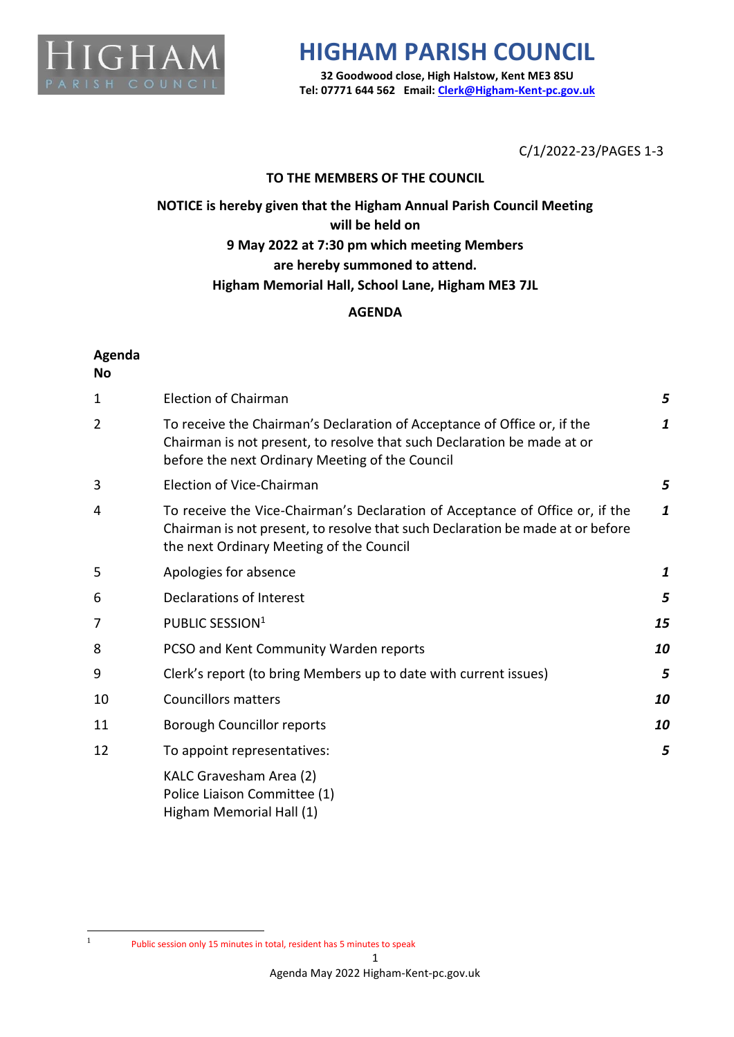

# **HIGHAM PARISH COUNCIL**

**32 Goodwood close, High Halstow, Kent ME3 8SU Tel: 07771 644 562 Email[: Clerk@Higham-Kent-pc.gov.uk](mailto:Clerk@Higham-Kent-pc.gov.uk)**

C/1/2022-23/PAGES 1-3

### **TO THE MEMBERS OF THE COUNCIL**

## **NOTICE is hereby given that the Higham Annual Parish Council Meeting will be held on 9 May 2022 at 7:30 pm which meeting Members are hereby summoned to attend. Higham Memorial Hall, School Lane, Higham ME3 7JL**

### **AGENDA**

### **Agenda**

**No**

| $\mathbf{1}$ | <b>Election of Chairman</b>                                                                                                                                                                                 | 5            |
|--------------|-------------------------------------------------------------------------------------------------------------------------------------------------------------------------------------------------------------|--------------|
| 2            | To receive the Chairman's Declaration of Acceptance of Office or, if the<br>Chairman is not present, to resolve that such Declaration be made at or<br>before the next Ordinary Meeting of the Council      | 1            |
| 3            | Election of Vice-Chairman                                                                                                                                                                                   | 5            |
| 4            | To receive the Vice-Chairman's Declaration of Acceptance of Office or, if the<br>Chairman is not present, to resolve that such Declaration be made at or before<br>the next Ordinary Meeting of the Council |              |
| 5            | Apologies for absence                                                                                                                                                                                       | $\mathbf{1}$ |
| 6            | Declarations of Interest                                                                                                                                                                                    | 5            |
| 7            | PUBLIC SESSION <sup>1</sup>                                                                                                                                                                                 | 15           |
| 8            | PCSO and Kent Community Warden reports                                                                                                                                                                      | 10           |
| 9            | Clerk's report (to bring Members up to date with current issues)                                                                                                                                            | 5            |
| 10           | <b>Councillors matters</b>                                                                                                                                                                                  | 10           |
| 11           | <b>Borough Councillor reports</b>                                                                                                                                                                           | 10           |
| 12           | To appoint representatives:                                                                                                                                                                                 | 5            |
|              | KALC Gravesham Area (2)<br>Police Liaison Committee (1)<br>Higham Memorial Hall (1)                                                                                                                         |              |

<sup>1</sup>

Public session only 15 minutes in total, resident has 5 minutes to speak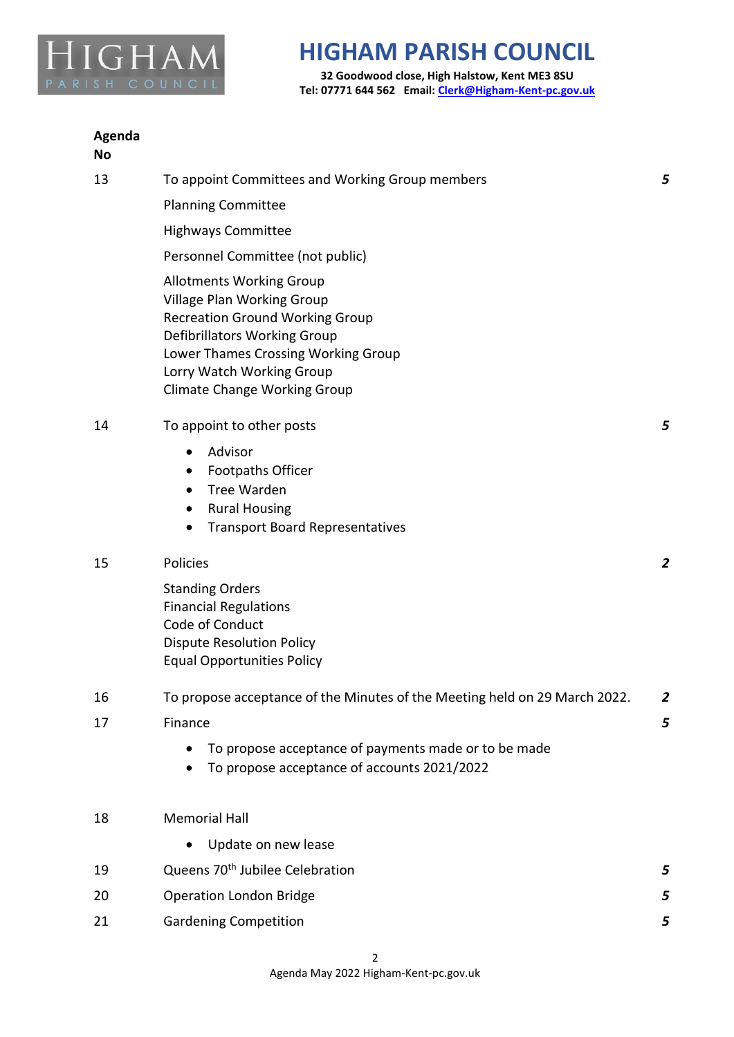

# **HIGHAM PARISH COUNCIL**

**32 Goodwood close, High Halstow, Kent ME3 8SU Tel: 07771 644 562 Email[: Clerk@Higham-Kent-pc.gov.uk](mailto:Clerk@Higham-Kent-pc.gov.uk)**

### **Agenda No**

| 13 | To appoint Committees and Working Group members                                                                                                                                                                                                           | 5 |
|----|-----------------------------------------------------------------------------------------------------------------------------------------------------------------------------------------------------------------------------------------------------------|---|
|    | <b>Planning Committee</b>                                                                                                                                                                                                                                 |   |
|    | <b>Highways Committee</b>                                                                                                                                                                                                                                 |   |
|    | Personnel Committee (not public)                                                                                                                                                                                                                          |   |
|    | <b>Allotments Working Group</b><br><b>Village Plan Working Group</b><br><b>Recreation Ground Working Group</b><br>Defibrillators Working Group<br>Lower Thames Crossing Working Group<br>Lorry Watch Working Group<br><b>Climate Change Working Group</b> |   |
| 14 | To appoint to other posts                                                                                                                                                                                                                                 | 5 |
|    | Advisor<br><b>Footpaths Officer</b><br>٠<br><b>Tree Warden</b><br><b>Rural Housing</b><br><b>Transport Board Representatives</b>                                                                                                                          |   |
| 15 | Policies                                                                                                                                                                                                                                                  | 2 |
|    | <b>Standing Orders</b><br><b>Financial Regulations</b><br>Code of Conduct<br><b>Dispute Resolution Policy</b><br><b>Equal Opportunities Policy</b>                                                                                                        |   |
| 16 | To propose acceptance of the Minutes of the Meeting held on 29 March 2022.                                                                                                                                                                                | 2 |
| 17 | Finance                                                                                                                                                                                                                                                   | 5 |
|    | To propose acceptance of payments made or to be made<br>To propose acceptance of accounts 2021/2022                                                                                                                                                       |   |
| 18 | <b>Memorial Hall</b>                                                                                                                                                                                                                                      |   |
|    | Update on new lease                                                                                                                                                                                                                                       |   |
| 19 | Queens 70 <sup>th</sup> Jubilee Celebration                                                                                                                                                                                                               | 5 |
| 20 | <b>Operation London Bridge</b>                                                                                                                                                                                                                            | 5 |
| 21 | <b>Gardening Competition</b>                                                                                                                                                                                                                              | 5 |